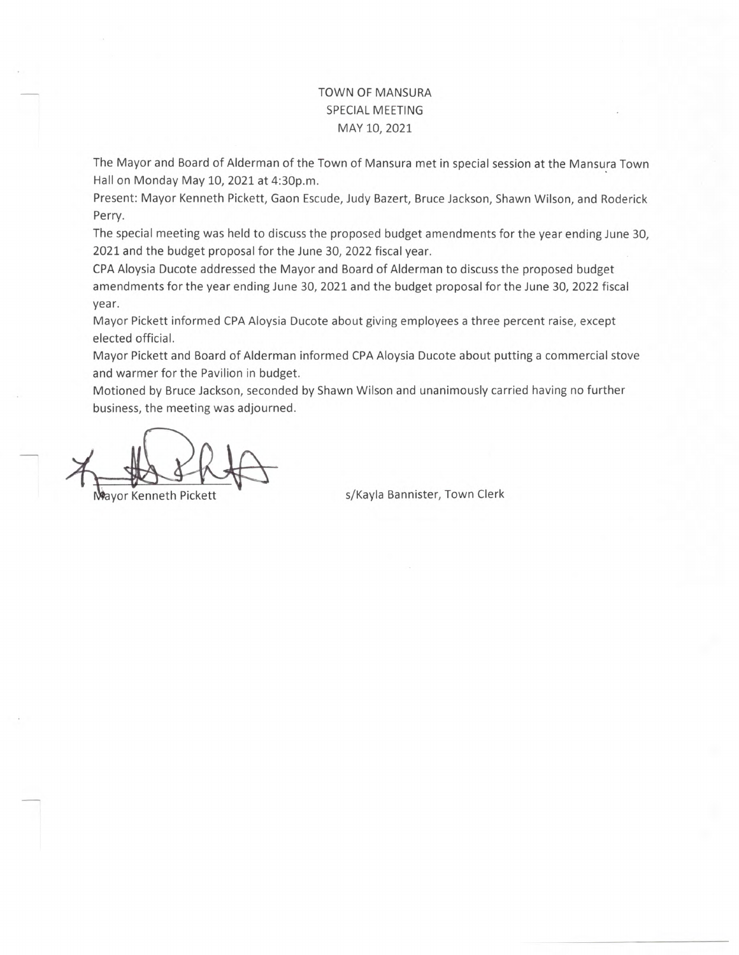## TOWN OF MANSURA SPECIAL MEETING MAY 10, 2021

The Mayor and Board of Alderman of the Town of Mansura met in special session at the Mansura Town Hall on Monday May 10, 2021 at 4:30p.m.

Present: Mayor Kenneth Pickett, Gaon Escude, Judy Bazert, Bruce Jackson, Shawn Wilson, and Roderick Perry.

The special meeting was held to discuss the proposed budget amendments for the year ending June 30, 2021 and the budget proposal for the June 30, 2022 fiscal year.

CPA Aloysia Ducote addressed the Mayor and Board of Alderman to discuss the proposed budget amendments for the year ending June 30, 2021 and the budget proposal for the June 30, 2022 fiscal year.

Mayor Pickett informed CPA Aloysia Ducote about giving employees a three percent raise, except elected official.

Mayor Pickett and Board of Alderman informed CPA Aloysia Ducote about putting a commercial stove and warmer for the Pavilion in budget.

Motioned by Bruce Jackson, seconded by Shawn Wilson and unanimously carried having no further business, the meeting was adjourned.

ayor Kenneth Pickett strategy of the system s/Kayla Bannister, Town Clerk